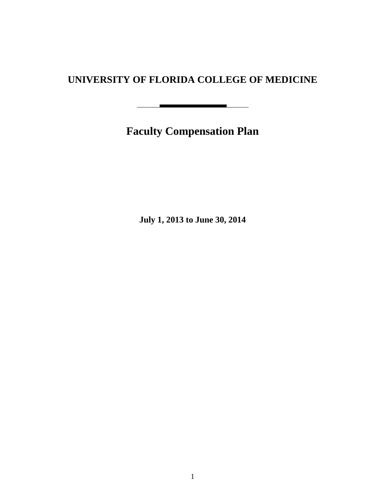# **UNIVERSITY OF FLORIDA COLLEGE OF MEDICINE**

**Faculty Compensation Plan**

 $\sim$ 

**July 1, 2013 to June 30, 2014**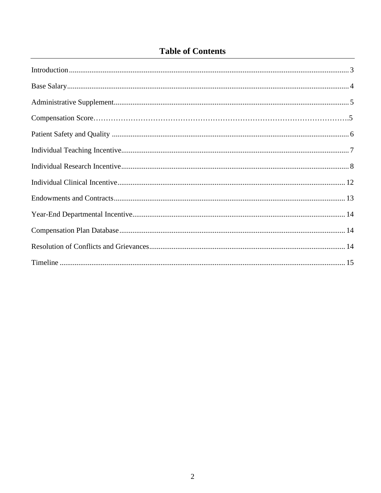# **Table of Contents**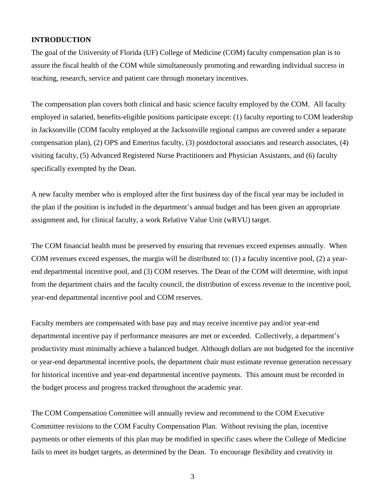#### **INTRODUCTION**

The goal of the University of Florida (UF) College of Medicine (COM) faculty compensation plan is to assure the fiscal health of the COM while simultaneously promoting and rewarding individual success in teaching, research, service and patient care through monetary incentives.

The compensation plan covers both clinical and basic science faculty employed by the COM. All faculty employed in salaried, benefits-eligible positions participate except: (1) faculty reporting to COM leadership in Jacksonville (COM faculty employed at the Jacksonville regional campus are covered under a separate compensation plan), (2) OPS and Emeritus faculty, (3) postdoctoral associates and research associates, (4) visiting faculty, (5) Advanced Registered Nurse Practitioners and Physician Assistants, and (6) faculty specifically exempted by the Dean.

A new faculty member who is employed after the first business day of the fiscal year may be included in the plan if the position is included in the department's annual budget and has been given an appropriate assignment and, for clinical faculty, a work Relative Value Unit (wRVU) target.

The COM financial health must be preserved by ensuring that revenues exceed expenses annually. When COM revenues exceed expenses, the margin will be distributed to: (1) a faculty incentive pool, (2) a yearend departmental incentive pool, and (3) COM reserves. The Dean of the COM will determine, with input from the department chairs and the faculty council, the distribution of excess revenue to the incentive pool, year-end departmental incentive pool and COM reserves.

Faculty members are compensated with base pay and may receive incentive pay and/or year-end departmental incentive pay if performance measures are met or exceeded. Collectively, a department's productivity must minimally achieve a balanced budget. Although dollars are not budgeted for the incentive or year-end departmental incentive pools, the department chair must estimate revenue generation necessary for historical incentive and year-end departmental incentive payments. This amount must be recorded in the budget process and progress tracked throughout the academic year.

The COM Compensation Committee will annually review and recommend to the COM Executive Committee revisions to the COM Faculty Compensation Plan. Without revising the plan, incentive payments or other elements of this plan may be modified in specific cases where the College of Medicine fails to meet its budget targets, as determined by the Dean. To encourage flexibility and creativity in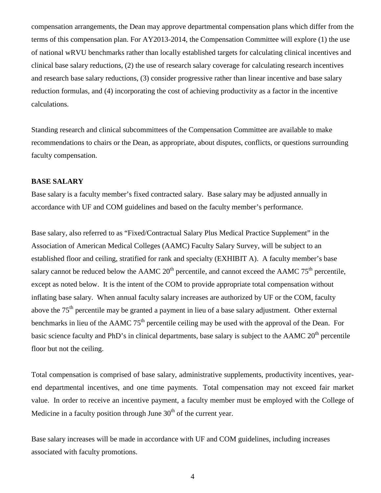compensation arrangements, the Dean may approve departmental compensation plans which differ from the terms of this compensation plan. For AY2013-2014, the Compensation Committee will explore (1) the use of national wRVU benchmarks rather than locally established targets for calculating clinical incentives and clinical base salary reductions, (2) the use of research salary coverage for calculating research incentives and research base salary reductions, (3) consider progressive rather than linear incentive and base salary reduction formulas, and (4) incorporating the cost of achieving productivity as a factor in the incentive calculations.

Standing research and clinical subcommittees of the Compensation Committee are available to make recommendations to chairs or the Dean, as appropriate, about disputes, conflicts, or questions surrounding faculty compensation.

### **BASE SALARY**

Base salary is a faculty member's fixed contracted salary. Base salary may be adjusted annually in accordance with UF and COM guidelines and based on the faculty member's performance.

Base salary, also referred to as "Fixed/Contractual Salary Plus Medical Practice Supplement" in the Association of American Medical Colleges (AAMC) Faculty Salary Survey, will be subject to an established floor and ceiling, stratified for rank and specialty (EXHIBIT A). A faculty member's base salary cannot be reduced below the AAMC  $20<sup>th</sup>$  percentile, and cannot exceed the AAMC  $75<sup>th</sup>$  percentile, except as noted below. It is the intent of the COM to provide appropriate total compensation without inflating base salary. When annual faculty salary increases are authorized by UF or the COM, faculty above the 75th percentile may be granted a payment in lieu of a base salary adjustment*.* Other external benchmarks in lieu of the AAMC  $75<sup>th</sup>$  percentile ceiling may be used with the approval of the Dean. For basic science faculty and PhD's in clinical departments, base salary is subject to the AAMC  $20<sup>th</sup>$  percentile floor but not the ceiling.

Total compensation is comprised of base salary, administrative supplements, productivity incentives, yearend departmental incentives, and one time payments. Total compensation may not exceed fair market value. In order to receive an incentive payment, a faculty member must be employed with the College of Medicine in a faculty position through June  $30<sup>th</sup>$  of the current year.

Base salary increases will be made in accordance with UF and COM guidelines, including increases associated with faculty promotions.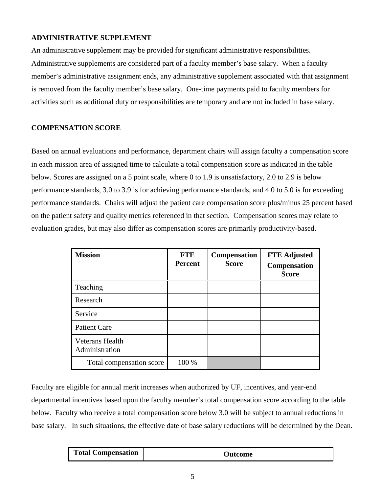### **ADMINISTRATIVE SUPPLEMENT**

An administrative supplement may be provided for significant administrative responsibilities. Administrative supplements are considered part of a faculty member's base salary. When a faculty member's administrative assignment ends, any administrative supplement associated with that assignment is removed from the faculty member's base salary. One-time payments paid to faculty members for activities such as additional duty or responsibilities are temporary and are not included in base salary.

### **COMPENSATION SCORE**

Based on annual evaluations and performance, department chairs will assign faculty a compensation score in each mission area of assigned time to calculate a total compensation score as indicated in the table below. Scores are assigned on a 5 point scale, where 0 to 1.9 is unsatisfactory, 2.0 to 2.9 is below performance standards, 3.0 to 3.9 is for achieving performance standards, and 4.0 to 5.0 is for exceeding performance standards. Chairs will adjust the patient care compensation score plus/minus 25 percent based on the patient safety and quality metrics referenced in that section. Compensation scores may relate to evaluation grades, but may also differ as compensation scores are primarily productivity-based.

| <b>Mission</b>                           | <b>FTE</b><br><b>Percent</b> | Compensation<br><b>Score</b> | <b>FTE Adjusted</b><br><b>Compensation</b><br><b>Score</b> |
|------------------------------------------|------------------------------|------------------------------|------------------------------------------------------------|
| Teaching                                 |                              |                              |                                                            |
| Research                                 |                              |                              |                                                            |
| Service                                  |                              |                              |                                                            |
| <b>Patient Care</b>                      |                              |                              |                                                            |
| <b>Veterans Health</b><br>Administration |                              |                              |                                                            |
| Total compensation score                 | 100 %                        |                              |                                                            |

Faculty are eligible for annual merit increases when authorized by UF, incentives, and year-end departmental incentives based upon the faculty member's total compensation score according to the table below. Faculty who receive a total compensation score below 3.0 will be subject to annual reductions in base salary. In such situations, the effective date of base salary reductions will be determined by the Dean.

| <b>Total Compensation</b> | Dutcome! |
|---------------------------|----------|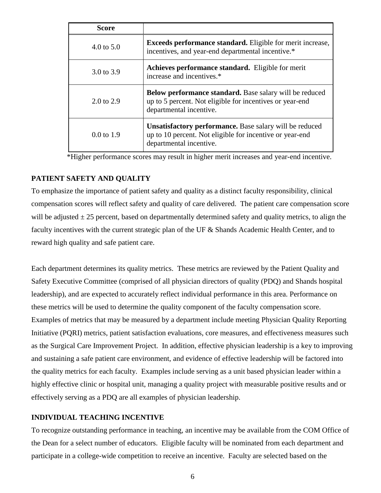| <b>Score</b>          |                                                                                                                                                       |
|-----------------------|-------------------------------------------------------------------------------------------------------------------------------------------------------|
| 4.0 to $5.0$          | <b>Exceeds performance standard.</b> Eligible for merit increase,<br>incentives, and year-end departmental incentive.*                                |
| 3.0 to 3.9            | Achieves performance standard. Eligible for merit<br>increase and incentives.*                                                                        |
| $2.0 \text{ to } 2.9$ | <b>Below performance standard.</b> Base salary will be reduced<br>up to 5 percent. Not eligible for incentives or year-end<br>departmental incentive. |
| $0.0 \text{ to } 1.9$ | Unsatisfactory performance. Base salary will be reduced<br>up to 10 percent. Not eligible for incentive or year-end<br>departmental incentive.        |

\*Higher performance scores may result in higher merit increases and year-end incentive.

### **PATIENT SAFETY AND QUALITY**

To emphasize the importance of patient safety and quality as a distinct faculty responsibility, clinical compensation scores will reflect safety and quality of care delivered. The patient care compensation score will be adjusted  $\pm 25$  percent, based on departmentally determined safety and quality metrics, to align the faculty incentives with the current strategic plan of the UF & Shands Academic Health Center, and to reward high quality and safe patient care.

Each department determines its quality metrics. These metrics are reviewed by the Patient Quality and Safety Executive Committee (comprised of all physician directors of quality (PDQ) and Shands hospital leadership), and are expected to accurately reflect individual performance in this area. Performance on these metrics will be used to determine the quality component of the faculty compensation score. Examples of metrics that may be measured by a department include meeting Physician Quality Reporting Initiative (PQRI) metrics, patient satisfaction evaluations, core measures, and effectiveness measures such as the Surgical Care Improvement Project. In addition, effective physician leadership is a key to improving and sustaining a safe patient care environment, and evidence of effective leadership will be factored into the quality metrics for each faculty. Examples include serving as a unit based physician leader within a highly effective clinic or hospital unit, managing a quality project with measurable positive results and or effectively serving as a PDQ are all examples of physician leadership.

### **INDIVIDUAL TEACHING INCENTIVE**

To recognize outstanding performance in teaching, an incentive may be available from the COM Office of the Dean for a select number of educators. Eligible faculty will be nominated from each department and participate in a college-wide competition to receive an incentive. Faculty are selected based on the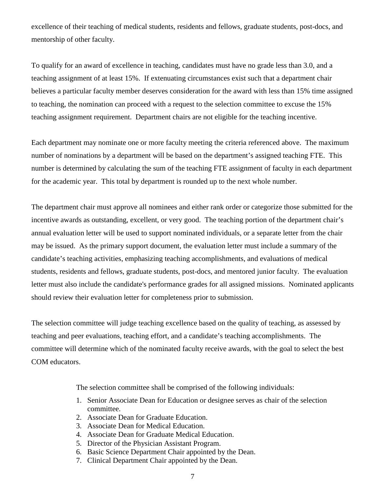excellence of their teaching of medical students, residents and fellows, graduate students, post-docs, and mentorship of other faculty.

To qualify for an award of excellence in teaching, candidates must have no grade less than 3.0, and a teaching assignment of at least 15%. If extenuating circumstances exist such that a department chair believes a particular faculty member deserves consideration for the award with less than 15% time assigned to teaching, the nomination can proceed with a request to the selection committee to excuse the 15% teaching assignment requirement. Department chairs are not eligible for the teaching incentive.

Each department may nominate one or more faculty meeting the criteria referenced above. The maximum number of nominations by a department will be based on the department's assigned teaching FTE. This number is determined by calculating the sum of the teaching FTE assignment of faculty in each department for the academic year. This total by department is rounded up to the next whole number.

The department chair must approve all nominees and either rank order or categorize those submitted for the incentive awards as outstanding, excellent, or very good. The teaching portion of the department chair's annual evaluation letter will be used to support nominated individuals, or a separate letter from the chair may be issued. As the primary support document, the evaluation letter must include a summary of the candidate's teaching activities, emphasizing teaching accomplishments, and evaluations of medical students, residents and fellows, graduate students, post-docs, and mentored junior faculty. The evaluation letter must also include the candidate's performance grades for all assigned missions. Nominated applicants should review their evaluation letter for completeness prior to submission.

The selection committee will judge teaching excellence based on the quality of teaching, as assessed by teaching and peer evaluations, teaching effort, and a candidate's teaching accomplishments. The committee will determine which of the nominated faculty receive awards, with the goal to select the best COM educators.

The selection committee shall be comprised of the following individuals:

- 1. Senior Associate Dean for Education or designee serves as chair of the selection committee.
- 2. Associate Dean for Graduate Education.
- 3. Associate Dean for Medical Education.
- 4. Associate Dean for Graduate Medical Education.
- 5. Director of the Physician Assistant Program.
- 6. Basic Science Department Chair appointed by the Dean.
- 7. Clinical Department Chair appointed by the Dean.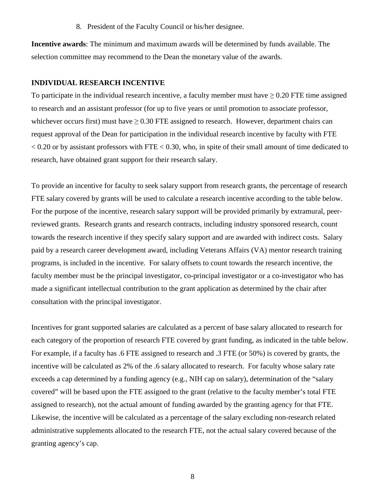8. President of the Faculty Council or his/her designee.

**Incentive awards**: The minimum and maximum awards will be determined by funds available. The selection committee may recommend to the Dean the monetary value of the awards.

#### **INDIVIDUAL RESEARCH INCENTIVE**

To participate in the individual research incentive, a faculty member must have  $\geq 0.20$  FTE time assigned to research and an assistant professor (for up to five years or until promotion to associate professor, whichever occurs first) must have  $\geq$  0.30 FTE assigned to research. However, department chairs can request approval of the Dean for participation in the individual research incentive by faculty with FTE  $< 0.20$  or by assistant professors with FTE  $< 0.30$ , who, in spite of their small amount of time dedicated to research, have obtained grant support for their research salary.

To provide an incentive for faculty to seek salary support from research grants, the percentage of research FTE salary covered by grants will be used to calculate a research incentive according to the table below. For the purpose of the incentive, research salary support will be provided primarily by extramural, peerreviewed grants. Research grants and research contracts, including industry sponsored research, count towards the research incentive if they specify salary support and are awarded with indirect costs. Salary paid by a research career development award, including Veterans Affairs (VA) mentor research training programs, is included in the incentive. For salary offsets to count towards the research incentive, the faculty member must be the principal investigator, co-principal investigator or a co-investigator who has made a significant intellectual contribution to the grant application as determined by the chair after consultation with the principal investigator.

Incentives for grant supported salaries are calculated as a percent of base salary allocated to research for each category of the proportion of research FTE covered by grant funding, as indicated in the table below. For example, if a faculty has .6 FTE assigned to research and .3 FTE (or 50%) is covered by grants, the incentive will be calculated as 2% of the .6 salary allocated to research. For faculty whose salary rate exceeds a cap determined by a funding agency (e.g., NIH cap on salary), determination of the "salary covered" will be based upon the FTE assigned to the grant (relative to the faculty member's total FTE assigned to research), not the actual amount of funding awarded by the granting agency for that FTE. Likewise, the incentive will be calculated as a percentage of the salary excluding non-research related administrative supplements allocated to the research FTE, not the actual salary covered because of the granting agency's cap.

8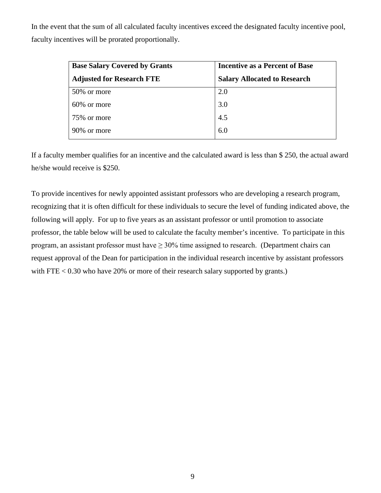In the event that the sum of all calculated faculty incentives exceed the designated faculty incentive pool, faculty incentives will be prorated proportionally.

| <b>Base Salary Covered by Grants</b> | <b>Incentive as a Percent of Base</b> |
|--------------------------------------|---------------------------------------|
| <b>Adjusted for Research FTE</b>     | <b>Salary Allocated to Research</b>   |
| 50% or more                          | 2.0                                   |
| 60\% or more                         | 3.0                                   |
| 75% or more                          | 4.5                                   |
| 90\% or more                         | 6.0                                   |

If a faculty member qualifies for an incentive and the calculated award is less than \$ 250, the actual award he/she would receive is \$250.

To provide incentives for newly appointed assistant professors who are developing a research program, recognizing that it is often difficult for these individuals to secure the level of funding indicated above, the following will apply. For up to five years as an assistant professor or until promotion to associate professor, the table below will be used to calculate the faculty member's incentive. To participate in this program, an assistant professor must have  $\geq 30\%$  time assigned to research. (Department chairs can request approval of the Dean for participation in the individual research incentive by assistant professors with FTE  $< 0.30$  who have 20% or more of their research salary supported by grants.)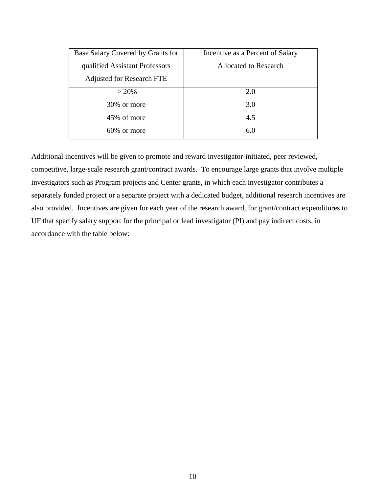| Base Salary Covered by Grants for | Incentive as a Percent of Salary |
|-----------------------------------|----------------------------------|
| qualified Assistant Professors    | <b>Allocated to Research</b>     |
| <b>Adjusted for Research FTE</b>  |                                  |
| $> 20\%$                          | 2.0                              |
| 30% or more                       | 3.0                              |
| 45% of more                       | 4.5                              |
| $60\%$ or more                    | 6.0                              |

Additional incentives will be given to promote and reward investigator-initiated, peer reviewed, competitive, large-scale research grant/contract awards. To encourage large grants that involve multiple investigators such as Program projects and Center grants, in which each investigator contributes a separately funded project or a separate project with a dedicated budget, additional research incentives are also provided. Incentives are given for each year of the research award, for grant/contract expenditures to UF that specify salary support for the principal or lead investigator (PI) and pay indirect costs, in accordance with the table below: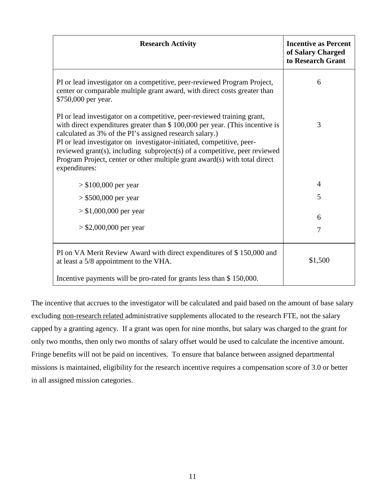| <b>Research Activity</b>                                                                                                                                                                                                                                                                                                                                                                                                                                                  | <b>Incentive as Percent</b><br>of Salary Charged<br>to Research Grant |
|---------------------------------------------------------------------------------------------------------------------------------------------------------------------------------------------------------------------------------------------------------------------------------------------------------------------------------------------------------------------------------------------------------------------------------------------------------------------------|-----------------------------------------------------------------------|
| PI or lead investigator on a competitive, peer-reviewed Program Project,<br>center or comparable multiple grant award, with direct costs greater than<br>\$750,000 per year.                                                                                                                                                                                                                                                                                              | 6                                                                     |
| PI or lead investigator on a competitive, peer-reviewed training grant,<br>with direct expenditures greater than \$ 100,000 per year. (This incentive is<br>calculated as 3% of the PI's assigned research salary.)<br>PI or lead investigator on investigator-initiated, competitive, peer-<br>reviewed grant(s), including subproject(s) of a competitive, peer reviewed<br>Program Project, center or other multiple grant award(s) with total direct<br>expenditures: | 3                                                                     |
| $> $100,000$ per year                                                                                                                                                                                                                                                                                                                                                                                                                                                     | 4                                                                     |
| $> $500,000$ per year                                                                                                                                                                                                                                                                                                                                                                                                                                                     | 5                                                                     |
| $> $1,000,000$ per year<br>$>$ \$2,000,000 per year                                                                                                                                                                                                                                                                                                                                                                                                                       | 6                                                                     |
|                                                                                                                                                                                                                                                                                                                                                                                                                                                                           | $\overline{7}$                                                        |
| PI on VA Merit Review Award with direct expenditures of \$150,000 and<br>at least a 5/8 appointment to the VHA.                                                                                                                                                                                                                                                                                                                                                           | \$1,500                                                               |
| Incentive payments will be pro-rated for grants less than \$150,000.                                                                                                                                                                                                                                                                                                                                                                                                      |                                                                       |

The incentive that accrues to the investigator will be calculated and paid based on the amount of base salary excluding non-research related administrative supplements allocated to the research FTE, not the salary capped by a granting agency. If a grant was open for nine months, but salary was charged to the grant for only two months, then only two months of salary offset would be used to calculate the incentive amount. Fringe benefits will not be paid on incentives. To ensure that balance between assigned departmental missions is maintained, eligibility for the research incentive requires a compensation score of 3.0 or better in all assigned mission categories.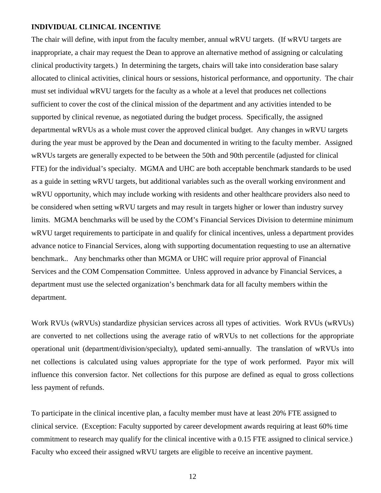#### **INDIVIDUAL CLINICAL INCENTIVE**

The chair will define, with input from the faculty member, annual wRVU targets. (If wRVU targets are inappropriate, a chair may request the Dean to approve an alternative method of assigning or calculating clinical productivity targets.) In determining the targets, chairs will take into consideration base salary allocated to clinical activities, clinical hours or sessions, historical performance, and opportunity. The chair must set individual wRVU targets for the faculty as a whole at a level that produces net collections sufficient to cover the cost of the clinical mission of the department and any activities intended to be supported by clinical revenue, as negotiated during the budget process. Specifically, the assigned departmental wRVUs as a whole must cover the approved clinical budget. Any changes in wRVU targets during the year must be approved by the Dean and documented in writing to the faculty member. Assigned wRVUs targets are generally expected to be between the 50th and 90th percentile (adjusted for clinical FTE) for the individual's specialty. MGMA and UHC are both acceptable benchmark standards to be used as a guide in setting wRVU targets, but additional variables such as the overall working environment and wRVU opportunity, which may include working with residents and other healthcare providers also need to be considered when setting wRVU targets and may result in targets higher or lower than industry survey limits. MGMA benchmarks will be used by the COM's Financial Services Division to determine minimum wRVU target requirements to participate in and qualify for clinical incentives, unless a department provides advance notice to Financial Services, along with supporting documentation requesting to use an alternative benchmark.. Any benchmarks other than MGMA or UHC will require prior approval of Financial Services and the COM Compensation Committee. Unless approved in advance by Financial Services, a department must use the selected organization's benchmark data for all faculty members within the department.

Work RVUs (wRVUs) standardize physician services across all types of activities. Work RVUs (wRVUs) are converted to net collections using the average ratio of wRVUs to net collections for the appropriate operational unit (department/division/specialty), updated semi-annually. The translation of wRVUs into net collections is calculated using values appropriate for the type of work performed. Payor mix will influence this conversion factor. Net collections for this purpose are defined as equal to gross collections less payment of refunds.

To participate in the clinical incentive plan, a faculty member must have at least 20% FTE assigned to clinical service. (Exception: Faculty supported by career development awards requiring at least 60% time commitment to research may qualify for the clinical incentive with a 0.15 FTE assigned to clinical service.) Faculty who exceed their assigned wRVU targets are eligible to receive an incentive payment.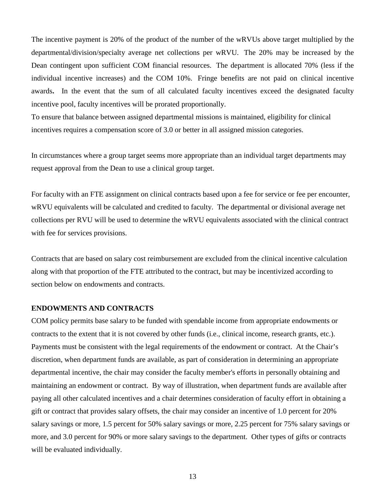The incentive payment is 20% of the product of the number of the wRVUs above target multiplied by the departmental/division/specialty average net collections per wRVU. The 20% may be increased by the Dean contingent upon sufficient COM financial resources. The department is allocated 70% (less if the individual incentive increases) and the COM 10%. Fringe benefits are not paid on clinical incentive awards**.** In the event that the sum of all calculated faculty incentives exceed the designated faculty incentive pool, faculty incentives will be prorated proportionally.

To ensure that balance between assigned departmental missions is maintained, eligibility for clinical incentives requires a compensation score of 3.0 or better in all assigned mission categories.

In circumstances where a group target seems more appropriate than an individual target departments may request approval from the Dean to use a clinical group target.

For faculty with an FTE assignment on clinical contracts based upon a fee for service or fee per encounter, wRVU equivalents will be calculated and credited to faculty. The departmental or divisional average net collections per RVU will be used to determine the wRVU equivalents associated with the clinical contract with fee for services provisions.

Contracts that are based on salary cost reimbursement are excluded from the clinical incentive calculation along with that proportion of the FTE attributed to the contract, but may be incentivized according to section below on endowments and contracts.

### **ENDOWMENTS AND CONTRACTS**

COM policy permits base salary to be funded with spendable income from appropriate endowments or contracts to the extent that it is not covered by other funds (i.e., clinical income, research grants, etc.). Payments must be consistent with the legal requirements of the endowment or contract. At the Chair's discretion, when department funds are available, as part of consideration in determining an appropriate departmental incentive, the chair may consider the faculty member's efforts in personally obtaining and maintaining an endowment or contract. By way of illustration, when department funds are available after paying all other calculated incentives and a chair determines consideration of faculty effort in obtaining a gift or contract that provides salary offsets, the chair may consider an incentive of 1.0 percent for 20% salary savings or more, 1.5 percent for 50% salary savings or more, 2.25 percent for 75% salary savings or more, and 3.0 percent for 90% or more salary savings to the department. Other types of gifts or contracts will be evaluated individually.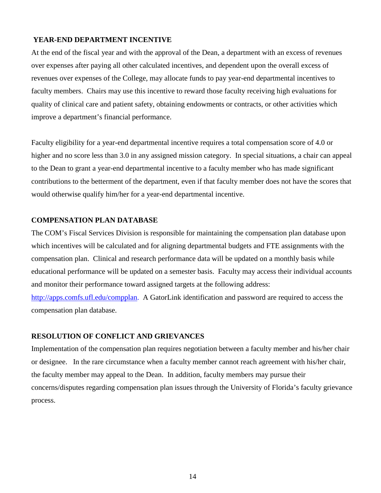### **YEAR-END DEPARTMENT INCENTIVE**

At the end of the fiscal year and with the approval of the Dean, a department with an excess of revenues over expenses after paying all other calculated incentives, and dependent upon the overall excess of revenues over expenses of the College, may allocate funds to pay year-end departmental incentives to faculty members. Chairs may use this incentive to reward those faculty receiving high evaluations for quality of clinical care and patient safety, obtaining endowments or contracts, or other activities which improve a department's financial performance.

Faculty eligibility for a year-end departmental incentive requires a total compensation score of 4.0 or higher and no score less than 3.0 in any assigned mission category. In special situations, a chair can appeal to the Dean to grant a year-end departmental incentive to a faculty member who has made significant contributions to the betterment of the department, even if that faculty member does not have the scores that would otherwise qualify him/her for a year-end departmental incentive.

### **COMPENSATION PLAN DATABASE**

The COM's Fiscal Services Division is responsible for maintaining the compensation plan database upon which incentives will be calculated and for aligning departmental budgets and FTE assignments with the compensation plan. Clinical and research performance data will be updated on a monthly basis while educational performance will be updated on a semester basis. Faculty may access their individual accounts and monitor their performance toward assigned targets at the following address:

[http://apps.comfs.ufl.edu/compplan.](http://apps.comfs.ufl.edu/compplan) A GatorLink identification and password are required to access the compensation plan database.

### **RESOLUTION OF CONFLICT AND GRIEVANCES**

Implementation of the compensation plan requires negotiation between a faculty member and his/her chair or designee. In the rare circumstance when a faculty member cannot reach agreement with his/her chair, the faculty member may appeal to the Dean. In addition, faculty members may pursue their concerns/disputes regarding compensation plan issues through the University of Florida's faculty grievance process.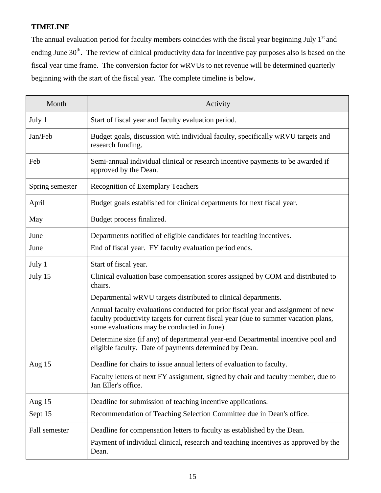### **TIMELINE**

The annual evaluation period for faculty members coincides with the fiscal year beginning July 1<sup>st</sup> and ending June 30<sup>th</sup>. The review of clinical productivity data for incentive pay purposes also is based on the fiscal year time frame. The conversion factor for wRVUs to net revenue will be determined quarterly beginning with the start of the fiscal year. The complete timeline is below.

| Month           | Activity                                                                                                                                                                                                               |
|-----------------|------------------------------------------------------------------------------------------------------------------------------------------------------------------------------------------------------------------------|
| July 1          | Start of fiscal year and faculty evaluation period.                                                                                                                                                                    |
| Jan/Feb         | Budget goals, discussion with individual faculty, specifically wRVU targets and<br>research funding.                                                                                                                   |
| Feb             | Semi-annual individual clinical or research incentive payments to be awarded if<br>approved by the Dean.                                                                                                               |
| Spring semester | <b>Recognition of Exemplary Teachers</b>                                                                                                                                                                               |
| April           | Budget goals established for clinical departments for next fiscal year.                                                                                                                                                |
| May             | Budget process finalized.                                                                                                                                                                                              |
| June            | Departments notified of eligible candidates for teaching incentives.                                                                                                                                                   |
| June            | End of fiscal year. FY faculty evaluation period ends.                                                                                                                                                                 |
| July 1          | Start of fiscal year.                                                                                                                                                                                                  |
| July 15         | Clinical evaluation base compensation scores assigned by COM and distributed to<br>chairs.                                                                                                                             |
|                 | Departmental wRVU targets distributed to clinical departments.                                                                                                                                                         |
|                 | Annual faculty evaluations conducted for prior fiscal year and assignment of new<br>faculty productivity targets for current fiscal year (due to summer vacation plans,<br>some evaluations may be conducted in June). |
|                 | Determine size (if any) of departmental year-end Departmental incentive pool and<br>eligible faculty. Date of payments determined by Dean.                                                                             |
| Aug $15$        | Deadline for chairs to issue annual letters of evaluation to faculty.                                                                                                                                                  |
|                 | Faculty letters of next FY assignment, signed by chair and faculty member, due to<br>Jan Eller's office.                                                                                                               |
| Aug $15$        | Deadline for submission of teaching incentive applications.                                                                                                                                                            |
| Sept 15         | Recommendation of Teaching Selection Committee due in Dean's office.                                                                                                                                                   |
| Fall semester   | Deadline for compensation letters to faculty as established by the Dean.<br>Payment of individual clinical, research and teaching incentives as approved by the<br>Dean.                                               |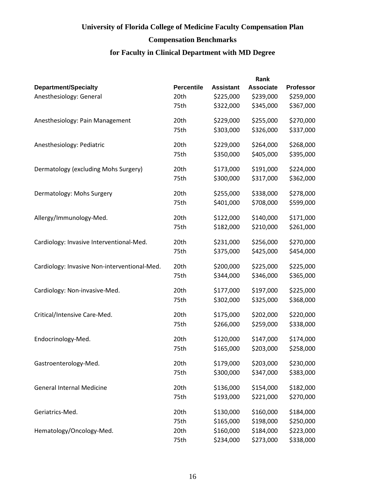## **Compensation Benchmarks**

|                                              |                   |                  | Rank             |                  |
|----------------------------------------------|-------------------|------------------|------------------|------------------|
| Department/Specialty                         | <b>Percentile</b> | <b>Assistant</b> | <b>Associate</b> | <b>Professor</b> |
| Anesthesiology: General                      | 20th              | \$225,000        | \$239,000        | \$259,000        |
|                                              | 75th              | \$322,000        | \$345,000        | \$367,000        |
| Anesthesiology: Pain Management              | 20th              | \$229,000        | \$255,000        | \$270,000        |
|                                              | 75th              | \$303,000        | \$326,000        | \$337,000        |
| Anesthesiology: Pediatric                    | 20th              | \$229,000        | \$264,000        | \$268,000        |
|                                              | 75th              | \$350,000        | \$405,000        | \$395,000        |
| Dermatology (excluding Mohs Surgery)         | 20th              | \$173,000        | \$191,000        | \$224,000        |
|                                              | 75th              | \$300,000        | \$317,000        | \$362,000        |
| Dermatology: Mohs Surgery                    | 20th              | \$255,000        | \$338,000        | \$278,000        |
|                                              | 75th              | \$401,000        | \$708,000        | \$599,000        |
| Allergy/Immunology-Med.                      | 20th              | \$122,000        | \$140,000        | \$171,000        |
|                                              | 75th              | \$182,000        | \$210,000        | \$261,000        |
| Cardiology: Invasive Interventional-Med.     | 20th              | \$231,000        | \$256,000        | \$270,000        |
|                                              | 75th              | \$375,000        | \$425,000        | \$454,000        |
| Cardiology: Invasive Non-interventional-Med. | 20th              | \$200,000        | \$225,000        | \$225,000        |
|                                              | 75th              | \$344,000        | \$346,000        | \$365,000        |
| Cardiology: Non-invasive-Med.                | 20th              | \$177,000        | \$197,000        | \$225,000        |
|                                              | 75th              | \$302,000        | \$325,000        | \$368,000        |
| Critical/Intensive Care-Med.                 | 20th              | \$175,000        | \$202,000        | \$220,000        |
|                                              | 75th              | \$266,000        | \$259,000        | \$338,000        |
| Endocrinology-Med.                           | 20th              | \$120,000        | \$147,000        | \$174,000        |
|                                              | 75th              | \$165,000        | \$203,000        | \$258,000        |
| Gastroenterology-Med.                        | 20th              | \$179,000        | \$203,000        | \$230,000        |
|                                              | 75th              | \$300,000        | \$347,000        | \$383,000        |
| <b>General Internal Medicine</b>             | 20th              | \$136,000        | \$154,000        | \$182,000        |
|                                              | 75th              | \$193,000        | \$221,000        | \$270,000        |
| Geriatrics-Med.                              | 20th              | \$130,000        | \$160,000        | \$184,000        |
|                                              | 75th              | \$165,000        | \$198,000        | \$250,000        |
| Hematology/Oncology-Med.                     | 20th              | \$160,000        | \$184,000        | \$223,000        |
|                                              | 75th              | \$234,000        | \$273,000        | \$338,000        |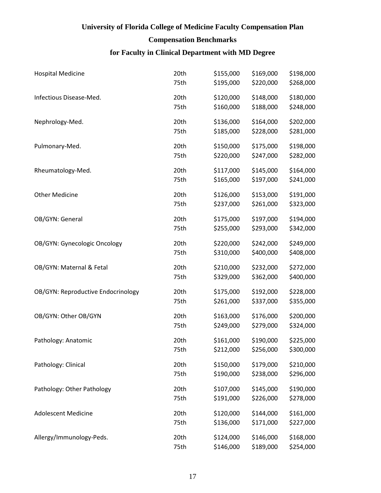## **Compensation Benchmarks**

| <b>Hospital Medicine</b>           | 20th | \$155,000 | \$169,000 | \$198,000 |
|------------------------------------|------|-----------|-----------|-----------|
|                                    | 75th | \$195,000 | \$220,000 | \$268,000 |
| Infectious Disease-Med.            | 20th | \$120,000 | \$148,000 | \$180,000 |
|                                    | 75th | \$160,000 | \$188,000 | \$248,000 |
| Nephrology-Med.                    | 20th | \$136,000 | \$164,000 | \$202,000 |
|                                    | 75th | \$185,000 | \$228,000 | \$281,000 |
| Pulmonary-Med.                     | 20th | \$150,000 | \$175,000 | \$198,000 |
|                                    | 75th | \$220,000 | \$247,000 | \$282,000 |
| Rheumatology-Med.                  | 20th | \$117,000 | \$145,000 | \$164,000 |
|                                    | 75th | \$165,000 | \$197,000 | \$241,000 |
| <b>Other Medicine</b>              | 20th | \$126,000 | \$153,000 | \$191,000 |
|                                    | 75th | \$237,000 | \$261,000 | \$323,000 |
| OB/GYN: General                    | 20th | \$175,000 | \$197,000 | \$194,000 |
|                                    | 75th | \$255,000 | \$293,000 | \$342,000 |
| OB/GYN: Gynecologic Oncology       | 20th | \$220,000 | \$242,000 | \$249,000 |
|                                    | 75th | \$310,000 | \$400,000 | \$408,000 |
| OB/GYN: Maternal & Fetal           | 20th | \$210,000 | \$232,000 | \$272,000 |
|                                    | 75th | \$329,000 | \$362,000 | \$400,000 |
| OB/GYN: Reproductive Endocrinology | 20th | \$175,000 | \$192,000 | \$228,000 |
|                                    | 75th | \$261,000 | \$337,000 | \$355,000 |
| OB/GYN: Other OB/GYN               | 20th | \$163,000 | \$176,000 | \$200,000 |
|                                    | 75th | \$249,000 | \$279,000 | \$324,000 |
| Pathology: Anatomic                | 20th | \$161,000 | \$190,000 | \$225,000 |
|                                    | 75th | \$212,000 | \$256,000 | \$300,000 |
| Pathology: Clinical                | 20th | \$150,000 | \$179,000 | \$210,000 |
|                                    | 75th | \$190,000 | \$238,000 | \$296,000 |
| Pathology: Other Pathology         | 20th | \$107,000 | \$145,000 | \$190,000 |
|                                    | 75th | \$191,000 | \$226,000 | \$278,000 |
| <b>Adolescent Medicine</b>         | 20th | \$120,000 | \$144,000 | \$161,000 |
|                                    | 75th | \$136,000 | \$171,000 | \$227,000 |
| Allergy/Immunology-Peds.           | 20th | \$124,000 | \$146,000 | \$168,000 |
|                                    | 75th | \$146,000 | \$189,000 | \$254,000 |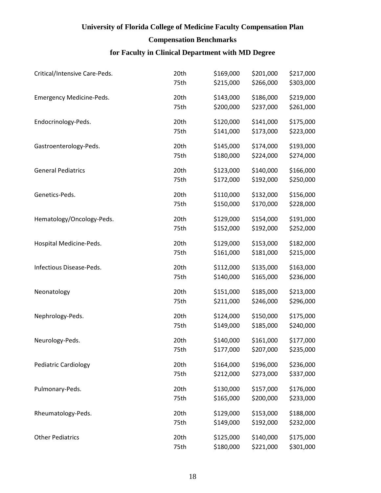## **Compensation Benchmarks**

| Critical/Intensive Care-Peds. | 20th | \$169,000 | \$201,000 | \$217,000 |
|-------------------------------|------|-----------|-----------|-----------|
|                               | 75th | \$215,000 | \$266,000 | \$303,000 |
| Emergency Medicine-Peds.      | 20th | \$143,000 | \$186,000 | \$219,000 |
|                               | 75th | \$200,000 | \$237,000 | \$261,000 |
| Endocrinology-Peds.           | 20th | \$120,000 | \$141,000 | \$175,000 |
|                               | 75th | \$141,000 | \$173,000 | \$223,000 |
| Gastroenterology-Peds.        | 20th | \$145,000 | \$174,000 | \$193,000 |
|                               | 75th | \$180,000 | \$224,000 | \$274,000 |
| <b>General Pediatrics</b>     | 20th | \$123,000 | \$140,000 | \$166,000 |
|                               | 75th | \$172,000 | \$192,000 | \$250,000 |
| Genetics-Peds.                | 20th | \$110,000 | \$132,000 | \$156,000 |
|                               | 75th | \$150,000 | \$170,000 | \$228,000 |
| Hematology/Oncology-Peds.     | 20th | \$129,000 | \$154,000 | \$191,000 |
|                               | 75th | \$152,000 | \$192,000 | \$252,000 |
| Hospital Medicine-Peds.       | 20th | \$129,000 | \$153,000 | \$182,000 |
|                               | 75th | \$161,000 | \$181,000 | \$215,000 |
| Infectious Disease-Peds.      | 20th | \$112,000 | \$135,000 | \$163,000 |
|                               | 75th | \$140,000 | \$165,000 | \$236,000 |
| Neonatology                   | 20th | \$151,000 | \$185,000 | \$213,000 |
|                               | 75th | \$211,000 | \$246,000 | \$296,000 |
| Nephrology-Peds.              | 20th | \$124,000 | \$150,000 | \$175,000 |
|                               | 75th | \$149,000 | \$185,000 | \$240,000 |
| Neurology-Peds.               | 20th | \$140,000 | \$161,000 | \$177,000 |
|                               | 75th | \$177,000 | \$207,000 | \$235,000 |
| <b>Pediatric Cardiology</b>   | 20th | \$164,000 | \$196,000 | \$236,000 |
|                               | 75th | \$212,000 | \$273,000 | \$337,000 |
| Pulmonary-Peds.               | 20th | \$130,000 | \$157,000 | \$176,000 |
|                               | 75th | \$165,000 | \$200,000 | \$233,000 |
| Rheumatology-Peds.            | 20th | \$129,000 | \$153,000 | \$188,000 |
|                               | 75th | \$149,000 | \$192,000 | \$232,000 |
| <b>Other Pediatrics</b>       | 20th | \$125,000 | \$140,000 | \$175,000 |
|                               | 75th | \$180,000 | \$221,000 | \$301,000 |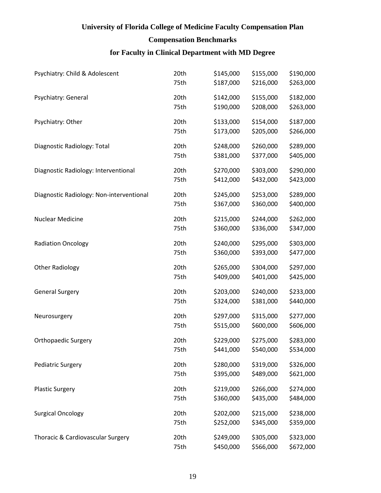## **Compensation Benchmarks**

| Psychiatry: Child & Adolescent           | 20th | \$145,000 | \$155,000 | \$190,000 |
|------------------------------------------|------|-----------|-----------|-----------|
|                                          | 75th | \$187,000 | \$216,000 | \$263,000 |
| Psychiatry: General                      | 20th | \$142,000 | \$155,000 | \$182,000 |
|                                          | 75th | \$190,000 | \$208,000 | \$263,000 |
| Psychiatry: Other                        | 20th | \$133,000 | \$154,000 | \$187,000 |
|                                          | 75th | \$173,000 | \$205,000 | \$266,000 |
| Diagnostic Radiology: Total              | 20th | \$248,000 | \$260,000 | \$289,000 |
|                                          | 75th | \$381,000 | \$377,000 | \$405,000 |
| Diagnostic Radiology: Interventional     | 20th | \$270,000 | \$303,000 | \$290,000 |
|                                          | 75th | \$412,000 | \$432,000 | \$423,000 |
| Diagnostic Radiology: Non-interventional | 20th | \$245,000 | \$253,000 | \$289,000 |
|                                          | 75th | \$367,000 | \$360,000 | \$400,000 |
| <b>Nuclear Medicine</b>                  | 20th | \$215,000 | \$244,000 | \$262,000 |
|                                          | 75th | \$360,000 | \$336,000 | \$347,000 |
| <b>Radiation Oncology</b>                | 20th | \$240,000 | \$295,000 | \$303,000 |
|                                          | 75th | \$360,000 | \$393,000 | \$477,000 |
| <b>Other Radiology</b>                   | 20th | \$265,000 | \$304,000 | \$297,000 |
|                                          | 75th | \$409,000 | \$401,000 | \$425,000 |
| <b>General Surgery</b>                   | 20th | \$203,000 | \$240,000 | \$233,000 |
|                                          | 75th | \$324,000 | \$381,000 | \$440,000 |
| Neurosurgery                             | 20th | \$297,000 | \$315,000 | \$277,000 |
|                                          | 75th | \$515,000 | \$600,000 | \$606,000 |
| <b>Orthopaedic Surgery</b>               | 20th | \$229,000 | \$275,000 | \$283,000 |
|                                          | 75th | \$441,000 | \$540,000 | \$534,000 |
| <b>Pediatric Surgery</b>                 | 20th | \$280,000 | \$319,000 | \$326,000 |
|                                          | 75th | \$395,000 | \$489,000 | \$621,000 |
| <b>Plastic Surgery</b>                   | 20th | \$219,000 | \$266,000 | \$274,000 |
|                                          | 75th | \$360,000 | \$435,000 | \$484,000 |
| <b>Surgical Oncology</b>                 | 20th | \$202,000 | \$215,000 | \$238,000 |
|                                          | 75th | \$252,000 | \$345,000 | \$359,000 |
| Thoracic & Cardiovascular Surgery        | 20th | \$249,000 | \$305,000 | \$323,000 |
|                                          | 75th | \$450,000 | \$566,000 | \$672,000 |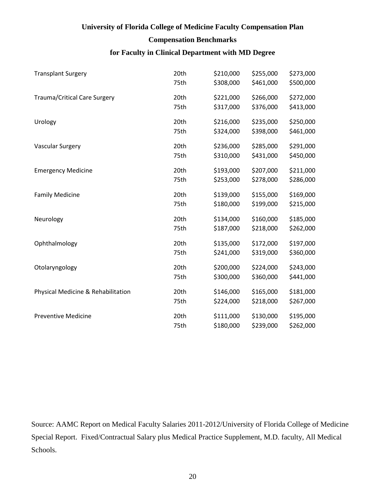### **Compensation Benchmarks**

### **for Faculty in Clinical Department with MD Degree**

| <b>Transplant Surgery</b>           | 20th | \$210,000 | \$255,000 | \$273,000 |
|-------------------------------------|------|-----------|-----------|-----------|
|                                     | 75th | \$308,000 | \$461,000 | \$500,000 |
| <b>Trauma/Critical Care Surgery</b> | 20th | \$221,000 | \$266,000 | \$272,000 |
|                                     | 75th | \$317,000 | \$376,000 | \$413,000 |
| Urology                             | 20th | \$216,000 | \$235,000 | \$250,000 |
|                                     | 75th | \$324,000 | \$398,000 | \$461,000 |
| Vascular Surgery                    | 20th | \$236,000 | \$285,000 | \$291,000 |
|                                     | 75th | \$310,000 | \$431,000 | \$450,000 |
| <b>Emergency Medicine</b>           | 20th | \$193,000 | \$207,000 | \$211,000 |
|                                     | 75th | \$253,000 | \$278,000 | \$286,000 |
| <b>Family Medicine</b>              | 20th | \$139,000 | \$155,000 | \$169,000 |
|                                     | 75th | \$180,000 | \$199,000 | \$215,000 |
| Neurology                           | 20th | \$134,000 | \$160,000 | \$185,000 |
|                                     | 75th | \$187,000 | \$218,000 | \$262,000 |
| Ophthalmology                       | 20th | \$135,000 | \$172,000 | \$197,000 |
|                                     | 75th | \$241,000 | \$319,000 | \$360,000 |
| Otolaryngology                      | 20th | \$200,000 | \$224,000 | \$243,000 |
|                                     | 75th | \$300,000 | \$360,000 | \$441,000 |
| Physical Medicine & Rehabilitation  | 20th | \$146,000 | \$165,000 | \$181,000 |
|                                     | 75th | \$224,000 | \$218,000 | \$267,000 |
| <b>Preventive Medicine</b>          | 20th | \$111,000 | \$130,000 | \$195,000 |
|                                     | 75th | \$180,000 | \$239,000 | \$262,000 |

Source: AAMC Report on Medical Faculty Salaries 2011-2012/University of Florida College of Medicine Special Report. Fixed/Contractual Salary plus Medical Practice Supplement, M.D. faculty, All Medical Schools.